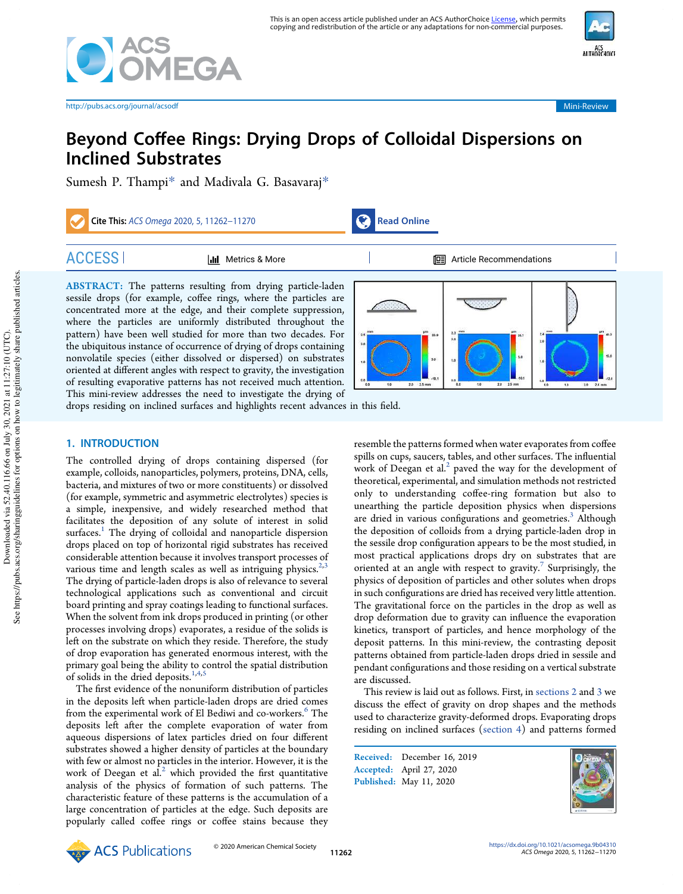

http://pubs.acs.org/journal/acsodf Mini-Review



# Beyond Coffee Rings: Drying Drops of Colloidal Dispersions on Inclined Substrates

Sumesh P. Thampi\* and Madivala G. Basavaraj\*



ACCESS | Metrics & More | Article Recommendations

ABSTRACT: The patterns resulting from drying particle-laden sessile drops (for example, coffee rings, where the particles are concentrated more at the edge, and their complete suppression, where the particles are uniformly distributed throughout the pattern) have been well studied for more than two decades. For the ubiquitous instance of occurrence of drying of drops containing nonvolatile species (either dissolved or dispersed) on substrates oriented at different angles with respect to gravity, the investigation of resulting evaporative patterns has not received much attention. This mini-review addresses the need to investigate the drying of



drops residing on inclined surfaces and highlights recent advances in this field.

# 1. INTRODUCTION

The controlled drying of drops containing dispersed (for example, colloids, nanoparticles, polymers, proteins, DNA, cells, bacteria, and mixtures of two or more constituents) or dissolved (for example, symmetric and asymmetric electrolytes) species is a simple, inexpensive, and widely researched method that facilitates the deposition of any solute of interest in solid surfaces.<sup>1</sup> The drying of colloidal and nanoparticle dispersion drops placed on top of horizontal rigid substrates has received considerable attention because it involves transport processes of various time and length scales as well as intriguing physics. $2,3$ The drying of particle-laden drops is also of relevance to several technological applications such as conventional and circuit board printing and spray coatings leading to functional surfaces. When the solvent from ink drops produced in printing (or other processes involving drops) evaporates, a residue of the solids is left on the substrate on which they reside. Therefore, the study of drop evaporation has generated enormous interest, with the primary goal being the ability to control the spatial distribution of solids in the dried deposits.<sup>1,4,5</sup>

The first evidence of the nonuniform distribution of particles in the deposits left when particle-laden drops are dried comes from the experimental work of El Bediwi and co-workers.<sup>6</sup> The deposits left after the complete evaporation of water from aqueous dispersions of latex particles dried on four different substrates showed a higher density of particles at the boundary with few or almost no particles in the interior. However, it is the work of Deegan et al.<sup>2</sup> which provided the first quantitative analysis of the physics of formation of such patterns. The characteristic feature of these patterns is the accumulation of a large concentration of particles at the edge. Such deposits are popularly called coffee rings or coffee stains because they resemble the patterns formed when water evaporates from coffee spills on cups, saucers, tables, and other surfaces. The influential work of Deegan et al. $^2$  paved the way for the development of theoretical, experimental, and simulation methods not restricted only to understanding coffee-ring formation but also to unearthing the particle deposition physics when dispersions are dried in various configurations and geometries.<sup>3</sup> Although the deposition of colloids from a drying particle-laden drop in the sessile drop configuration appears to be the most studied, in most practical applications drops dry on substrates that are oriented at an angle with respect to gravity.<sup>7</sup> Surprisingly, the physics of deposition of particles and other solutes when drops in such configurations are dried has received very little attention. The gravitational force on the particles in the drop as well as drop deformation due to gravity can influence the evaporation kinetics, transport of particles, and hence morphology of the deposit patterns. In this mini-review, the contrasting deposit patterns obtained from particle-laden drops dried in sessile and pendant configurations and those residing on a vertical substrate are discussed.

This review is laid out as follows. First, in sections 2 and 3 we discuss the effect of gravity on drop shapes and the methods used to characterize gravity-deformed drops. Evaporating drops residing on inclined surfaces (section 4) and patterns formed

Received: December 16, 2019 Accepted: April 27, 2020 Published: May 11, 2020

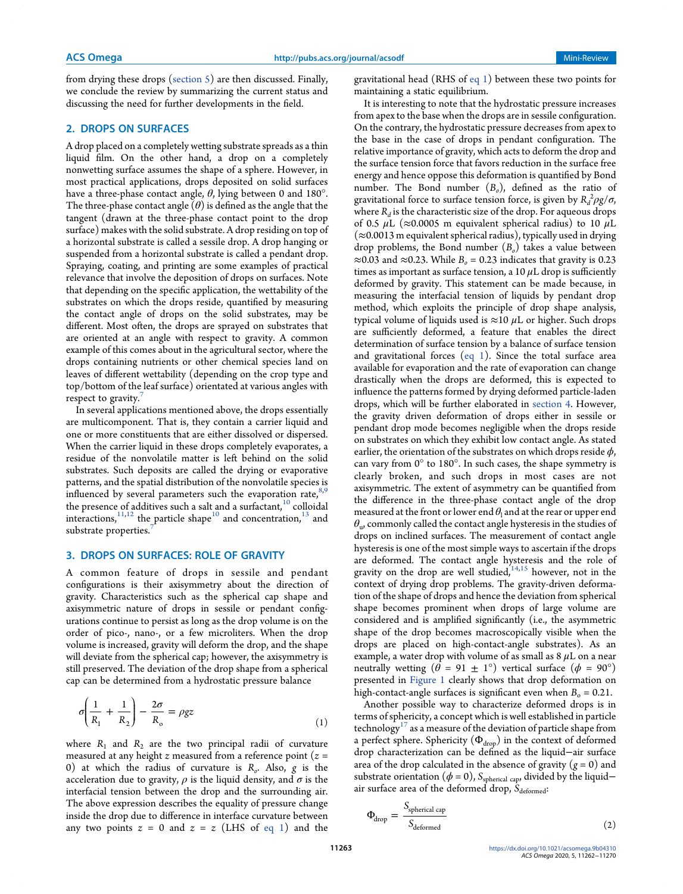from drying these drops (section 5) are then discussed. Finally, we conclude the review by summarizing the current status and discussing the need for further developments in the field.

## 2. DROPS ON SURFACES

A drop placed on a completely wetting substrate spreads as a thin liquid film. On the other hand, a drop on a completely nonwetting surface assumes the shape of a sphere. However, in most practical applications, drops deposited on solid surfaces have a three-phase contact angle,  $\theta$ , lying between 0 and 180°. The three-phase contact angle  $(\theta)$  is defined as the angle that the tangent (drawn at the three-phase contact point to the drop surface) makes with the solid substrate. A drop residing on top of a horizontal substrate is called a sessile drop. A drop hanging or suspended from a horizontal substrate is called a pendant drop. Spraying, coating, and printing are some examples of practical relevance that involve the deposition of drops on surfaces. Note that depending on the specific application, the wettability of the substrates on which the drops reside, quantified by measuring the contact angle of drops on the solid substrates, may be different. Most often, the drops are sprayed on substrates that are oriented at an angle with respect to gravity. A common example of this comes about in the agricultural sector, where the drops containing nutrients or other chemical species land on leaves of different wettability (depending on the crop type and top/bottom of the leaf surface) orientated at various angles with respect to gravity.'

In several applications mentioned above, the drops essentially are multicomponent. That is, they contain a carrier liquid and one or more constituents that are either dissolved or dispersed. When the carrier liquid in these drops completely evaporates, a residue of the nonvolatile matter is left behind on the solid substrates. Such deposits are called the drying or evaporative patterns, and the spatial distribution of the nonvolatile species is influenced by several parameters such the evaporation rate,  $8,9$ the presence of additives such a salt and a surfactant, $^{10}$  colloidal interactions,<sup>11,12</sup> the particle shape<sup>10</sup> and concentration,<sup>13</sup> and substrate properties.

## 3. DROPS ON SURFACES: ROLE OF GRAVITY

A common feature of drops in sessile and pendant configurations is their axisymmetry about the direction of gravity. Characteristics such as the spherical cap shape and axisymmetric nature of drops in sessile or pendant configurations continue to persist as long as the drop volume is on the order of pico-, nano-, or a few microliters. When the drop volume is increased, gravity will deform the drop, and the shape will deviate from the spherical cap; however, the axisymmetry is still preserved. The deviation of the drop shape from a spherical cap can be determined from a hydrostatic pressure balance

$$
\sigma \left( \frac{1}{R_1} + \frac{1}{R_2} \right) - \frac{2\sigma}{R_0} = \rho g z \tag{1}
$$

where  $R_1$  and  $R_2$  are the two principal radii of curvature measured at any height z measured from a reference point ( $z =$ 0) at which the radius of curvature is  $R_o$ . Also,  $g$  is the acceleration due to gravity,  $\rho$  is the liquid density, and  $\sigma$  is the interfacial tension between the drop and the surrounding air. The above expression describes the equality of pressure change inside the drop due to difference in interface curvature between any two points  $z = 0$  and  $z = z$  (LHS of eq 1) and the

gravitational head (RHS of eq 1) between these two points for maintaining a static equilibrium.

It is interesting to note that the hydrostatic pressure increases from apex to the base when the drops are in sessile configuration. On the contrary, the hydrostatic pressure decreases from apex to the base in the case of drops in pendant configuration. The relative importance of gravity, which acts to deform the drop and the surface tension force that favors reduction in the surface free energy and hence oppose this deformation is quantified by Bond number. The Bond number  $(B_o)$ , defined as the ratio of gravitational force to surface tension force, is given by  $R_d^2 \rho g / \sigma$ , where  $R_d$  is the characteristic size of the drop. For aqueous drops of 0.5  $\mu$ L ( $\approx$ 0.0005 m equivalent spherical radius) to 10  $\mu$ L  $(\approx 0.0013$  m equivalent spherical radius), typically used in drying drop problems, the Bond number  $(B<sub>o</sub>)$  takes a value between ≈0.03 and ≈0.23. While  $B_0 = 0.23$  indicates that gravity is 0.23 times as important as surface tension, a 10  $\mu$ L drop is sufficiently deformed by gravity. This statement can be made because, in measuring the interfacial tension of liquids by pendant drop method, which exploits the principle of drop shape analysis, typical volume of liquids used is  $\approx$ 10  $\mu$ L or higher. Such drops are sufficiently deformed, a feature that enables the direct determination of surface tension by a balance of surface tension and gravitational forces (eq 1). Since the total surface area available for evaporation and the rate of evaporation can change drastically when the drops are deformed, this is expected to influence the patterns formed by drying deformed particle-laden drops, which will be further elaborated in section 4. However, the gravity driven deformation of drops either in sessile or pendant drop mode becomes negligible when the drops reside on substrates on which they exhibit low contact angle. As stated earlier, the orientation of the substrates on which drops reside  $\phi$ , can vary from 0° to 180°. In such cases, the shape symmetry is clearly broken, and such drops in most cases are not axisymmetric. The extent of asymmetry can be quantified from the difference in the three-phase contact angle of the drop measured at the front or lower end  $\theta_1$  and at the rear or upper end  $\theta_\mathrm{w}$  commonly called the contact angle hysteresis in the studies of drops on inclined surfaces. The measurement of contact angle hysteresis is one of the most simple ways to ascertain if the drops are deformed. The contact angle hysteresis and the role of gravity on the drop are well studied, $14,15$  however, not in the context of drying drop problems. The gravity-driven deformation of the shape of drops and hence the deviation from spherical shape becomes prominent when drops of large volume are considered and is amplified significantly (i.e., the asymmetric shape of the drop becomes macroscopically visible when the drops are placed on high-contact-angle substrates). As an example, a water drop with volume of as small as  $8 \mu L$  on a near neutrally wetting  $(\theta = 91 \pm 1^{\circ})$  vertical surface  $(\phi = 90^{\circ})$ presented in Figure 1 clearly shows that drop deformation on high-contact-angle surfaces is significant even when  $B_0 = 0.21$ .

Another possible way to characterize deformed drops is in terms of sphericity, a concept which is well established in particle technology $17$  as a measure of the deviation of particle shape from a perfect sphere. Sphericity  $(\Phi_{\text{drop}})$  in the context of deformed drop characterization can be defined as the liquid−air surface area of the drop calculated in the absence of gravity  $(g = 0)$  and substrate orientation ( $\phi$  = 0), S<sub>spherical cap</sub>, divided by the liquid– air surface area of the deformed drop,  $\tilde{S}_{\text{deformed}}$ :

$$
\Phi_{\text{drop}} = \frac{S_{\text{spherical cap}}}{S_{\text{deformed}}}
$$
\n(2)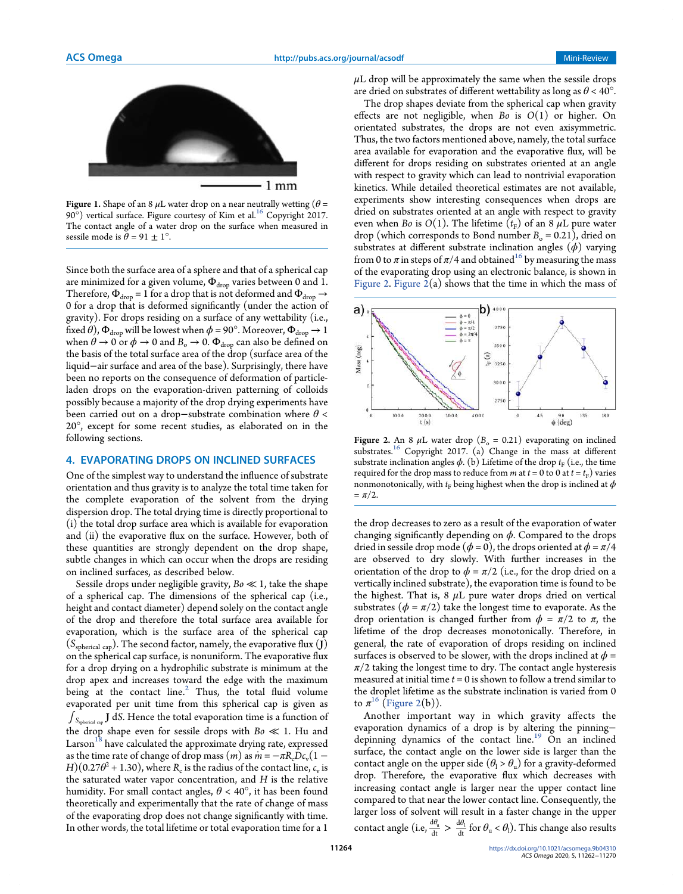

Figure 1. Shape of an 8  $\mu$ L water drop on a near neutrally wetting ( $\theta$  = 90°) vertical surface. Figure courtesy of Kim et al.<sup>16</sup> Copyright 2017. The contact angle of a water drop on the surface when measured in sessile mode is  $\theta = 91 + 1^{\circ}$ .

Since both the surface area of a sphere and that of a spherical cap are minimized for a given volume,  $\Phi_{\text{drop}}$  varies between 0 and 1. Therefore,  $\Phi_{drop} = 1$  for a drop that is not deformed and  $\Phi_{drop} \rightarrow$ 0 for a drop that is deformed significantly (under the action of gravity). For drops residing on a surface of any wettability (i.e., fixed  $\theta$ ),  $\Phi_{drop}$  will be lowest when  $\phi = 90^\circ$ . Moreover,  $\Phi_{drop} \rightarrow 1$ when  $\theta \to 0$  or  $\phi \to 0$  and  $B_{\text{o}} \to 0$ .  $\Phi_{\text{drop}}$  can also be defined on the basis of the total surface area of the drop (surface area of the liquid−air surface and area of the base). Surprisingly, there have been no reports on the consequence of deformation of particleladen drops on the evaporation-driven patterning of colloids possibly because a majority of the drop drying experiments have been carried out on a drop-substrate combination where  $\theta$  < 20°, except for some recent studies, as elaborated on in the following sections.

### 4. EVAPORATING DROPS ON INCLINED SURFACES

One of the simplest way to understand the influence of substrate orientation and thus gravity is to analyze the total time taken for the complete evaporation of the solvent from the drying dispersion drop. The total drying time is directly proportional to (i) the total drop surface area which is available for evaporation and (ii) the evaporative flux on the surface. However, both of these quantities are strongly dependent on the drop shape, subtle changes in which can occur when the drops are residing on inclined surfaces, as described below.

Sessile drops under negligible gravity,  $Bo \ll 1$ , take the shape of a spherical cap. The dimensions of the spherical cap (i.e., height and contact diameter) depend solely on the contact angle of the drop and therefore the total surface area available for evaporation, which is the surface area of the spherical cap  $(S_{\text{spherical cap}})$ . The second factor, namely, the evaporative flux  $(J)$ on the spherical cap surface, is nonuniform. The evaporative flux for a drop drying on a hydrophilic substrate is minimum at the drop apex and increases toward the edge with the maximum being at the contact line. $^2$  Thus, the total fluid volume evaporated per unit time from this spherical cap is given as  $\int_{S_{\rm spherical\ cap}} {\bf J}$  dS. Hence the total evaporation time is a function of the drop shape even for sessile drops with  $Bo \ll 1$ . Hu and Larson<sup>18</sup> have calculated the approximate drying rate, expressed as the time rate of change of drop mass  $(m)$  as  $\dot{m} = -\pi R_c D c_v (1 H) (0.27 \theta^2 + 1.30)$ , where  $R_{\rm c}$  is the radius of the contact line,  $c_{\rm v}$  is the saturated water vapor concentration, and  $H$  is the relative humidity. For small contact angles,  $\theta$  < 40°, it has been found theoretically and experimentally that the rate of change of mass of the evaporating drop does not change significantly with time. In other words, the total lifetime or total evaporation time for a 1

 $\mu$ L drop will be approximately the same when the sessile drops are dried on substrates of different wettability as long as  $\theta$  < 40°.

The drop shapes deviate from the spherical cap when gravity effects are not negligible, when Bo is  $O(1)$  or higher. On orientated substrates, the drops are not even axisymmetric. Thus, the two factors mentioned above, namely, the total surface area available for evaporation and the evaporative flux, will be different for drops residing on substrates oriented at an angle with respect to gravity which can lead to nontrivial evaporation kinetics. While detailed theoretical estimates are not available, experiments show interesting consequences when drops are dried on substrates oriented at an angle with respect to gravity even when Bo is O(1). The lifetime  $(t_F)$  of an 8  $\mu$ L pure water drop (which corresponds to Bond number  $B_0 = 0.21$ ), dried on substrates at different substrate inclination angles  $(\phi)$  varying from 0 to  $\pi$  in steps of  $\pi/4$  and obtained<sup>16</sup> by measuring the mass of the evaporating drop using an electronic balance, is shown in Figure 2. Figure  $2(a)$  shows that the time in which the mass of



Figure 2. An 8  $\mu$ L water drop ( $B_0 = 0.21$ ) evaporating on inclined substrates.<sup>16</sup> Copyright 2017. (a) Change in the mass at different substrate inclination angles  $\phi$ . (b) Lifetime of the drop  $t_F$  (i.e., the time required for the drop mass to reduce from *m* at  $t = 0$  to 0 at  $t = t_F$ ) varies nonmonotonically, with  $t_F$  being highest when the drop is inclined at  $\phi$  $=\pi/2$ .

the drop decreases to zero as a result of the evaporation of water changing significantly depending on  $\phi$ . Compared to the drops dried in sessile drop mode ( $\phi$  = 0), the drops oriented at  $\phi$  =  $\pi/4$ are observed to dry slowly. With further increases in the orientation of the drop to  $\phi = \pi/2$  (i.e., for the drop dried on a vertically inclined substrate), the evaporation time is found to be the highest. That is,  $8 \mu L$  pure water drops dried on vertical substrates ( $\phi = \pi/2$ ) take the longest time to evaporate. As the drop orientation is changed further from  $\phi = \pi/2$  to  $\pi$ , the lifetime of the drop decreases monotonically. Therefore, in general, the rate of evaporation of drops residing on inclined surfaces is observed to be slower, with the drops inclined at  $\phi =$  $\pi/2$  taking the longest time to dry. The contact angle hysteresis measured at initial time  $t = 0$  is shown to follow a trend similar to the droplet lifetime as the substrate inclination is varied from 0 to  $\pi^{16}$  (Figure 2(b)).

Another important way in which gravity affects the evaporation dynamics of a drop is by altering the pinning− depinning dynamics of the contact line.<sup>19</sup> On an inclined surface, the contact angle on the lower side is larger than the contact angle on the upper side  $(\theta_1 > \theta_u)$  for a gravity-deformed drop. Therefore, the evaporative flux which decreases with increasing contact angle is larger near the upper contact line compared to that near the lower contact line. Consequently, the larger loss of solvent will result in a faster change in the upper contact angle (i.e,  $\frac{d\theta_a}{dt} > \frac{d\theta_a}{dt}$ dt d  $\frac{d_{\rm u}}{dt}$   $>$   $\frac{d_{\rm o}}{dt}$  for  $\theta_{\rm u}$  <  $\theta_{\rm l}$ ). This change also results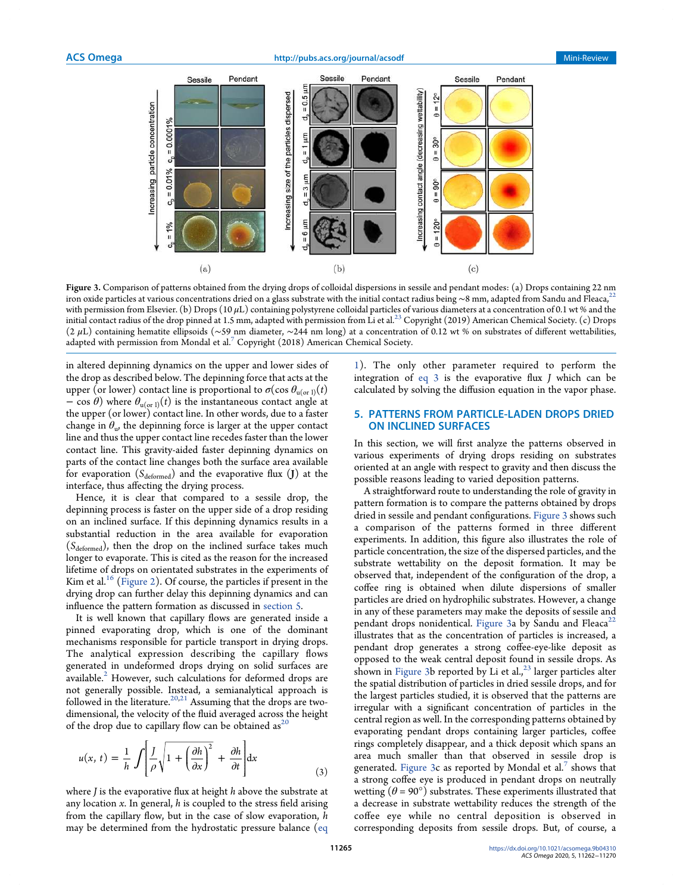

Figure 3. Comparison of patterns obtained from the drying drops of colloidal dispersions in sessile and pendant modes: (a) Drops containing 22 nm iron oxide particles at various concentrations dried on a glass substrate with the initial contact radius being ~8 mm, adapted from Sandu and Fleaca,<sup>2</sup> with permission from Elsevier. (b) Drops (10  $\mu$ L) containing polystyrene colloidal particles of various diameters at a concentration of 0.1 wt % and the initial contact radius of the drop pinned at 1.5 mm, adapted with permission from Li et al.<sup>23</sup> Copyright (2019) American Chemical Society. (c) Drops (2 μL) containing hematite ellipsoids (∼59 nm diameter, ∼244 nm long) at a concentration of 0.12 wt % on substrates of different wettabilities, adapted with permission from Mondal et al.<sup>7</sup> Copyright (2018) American Chemical Society.

in altered depinning dynamics on the upper and lower sides of the drop as described below. The depinning force that acts at the upper (or lower) contact line is proportional to  $\sigma(\cos\theta_{u(\text{or }l)}(t))$  $-$  cos  $\theta$ ) where  $\theta_{u(\text{or }l)}(t)$  is the instantaneous contact angle at the upper (or lower) contact line. In other words, due to a faster change in  $\theta_\mathrm{w}$  the depinning force is larger at the upper contact line and thus the upper contact line recedes faster than the lower contact line. This gravity-aided faster depinning dynamics on parts of the contact line changes both the surface area available for evaporation ( $S_{\text{deformed}}$ ) and the evaporative flux (J) at the interface, thus affecting the drying process.

Hence, it is clear that compared to a sessile drop, the depinning process is faster on the upper side of a drop residing on an inclined surface. If this depinning dynamics results in a substantial reduction in the area available for evaporation  $(S_{\text{deformed}})$ , then the drop on the inclined surface takes much longer to evaporate. This is cited as the reason for the increased lifetime of drops on orientated substrates in the experiments of Kim et al. $^{16}$  (Figure 2). Of course, the particles if present in the drying drop can further delay this depinning dynamics and can influence the pattern formation as discussed in section 5.

It is well known that capillary flows are generated inside a pinned evaporating drop, which is one of the dominant mechanisms responsible for particle transport in drying drops. The analytical expression describing the capillary flows generated in undeformed drops drying on solid surfaces are available.<sup>2</sup> However, such calculations for deformed drops are not generally possible. Instead, a semianalytical approach is followed in the literature.<sup>20,21</sup> Assuming that the drops are twodimensional, the velocity of the fluid averaged across the height of the drop due to capillary flow can be obtained as  $20$ 

$$
u(x, t) = \frac{1}{h} \int \left[ \frac{J}{\rho} \sqrt{1 + \left( \frac{\partial h}{\partial x} \right)^2} + \frac{\partial h}{\partial t} \right] dx
$$
 (3)

where  $J$  is the evaporative flux at height  $h$  above the substrate at any location  $x$ . In general,  $h$  is coupled to the stress field arising from the capillary flow, but in the case of slow evaporation, h may be determined from the hydrostatic pressure balance (eq

1). The only other parameter required to perform the integration of eq  $3$  is the evaporative flux  $J$  which can be calculated by solving the diffusion equation in the vapor phase.

## 5. PATTERNS FROM PARTICLE-LADEN DROPS DRIED ON INCLINED SURFACES

In this section, we will first analyze the patterns observed in various experiments of drying drops residing on substrates oriented at an angle with respect to gravity and then discuss the possible reasons leading to varied deposition patterns.

A straightforward route to understanding the role of gravity in pattern formation is to compare the patterns obtained by drops dried in sessile and pendant configurations. Figure 3 shows such a comparison of the patterns formed in three different experiments. In addition, this figure also illustrates the role of particle concentration, the size of the dispersed particles, and the substrate wettability on the deposit formation. It may be observed that, independent of the configuration of the drop, a coffee ring is obtained when dilute dispersions of smaller particles are dried on hydrophilic substrates. However, a change in any of these parameters may make the deposits of sessile and pendant drops nonidentical. Figure 3a by Sandu and Fleaca<sup>22</sup> illustrates that as the concentration of particles is increased, a pendant drop generates a strong coffee-eye-like deposit as opposed to the weak central deposit found in sessile drops. As shown in Figure 3b reported by Li et al., $^{23}$  larger particles alter the spatial distribution of particles in dried sessile drops, and for the largest particles studied, it is observed that the patterns are irregular with a significant concentration of particles in the central region as well. In the corresponding patterns obtained by evaporating pendant drops containing larger particles, coffee rings completely disappear, and a thick deposit which spans an area much smaller than that observed in sessile drop is generated. Figure 3c as reported by Mondal et al.<sup>7</sup> shows that a strong coffee eye is produced in pendant drops on neutrally wetting  $(\theta = 90^{\circ})$  substrates. These experiments illustrated that a decrease in substrate wettability reduces the strength of the coffee eye while no central deposition is observed in corresponding deposits from sessile drops. But, of course, a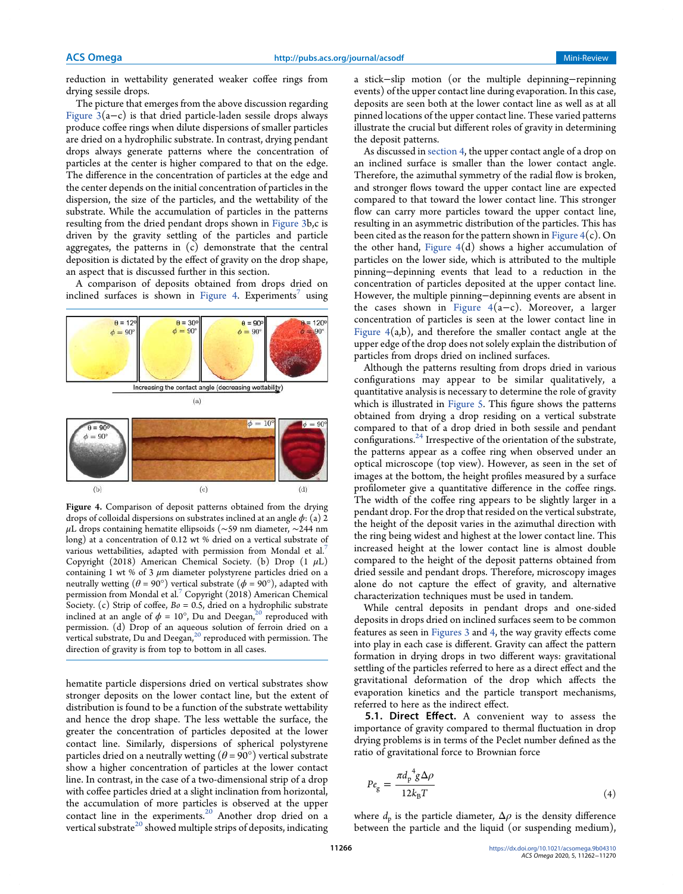reduction in wettability generated weaker coffee rings from drying sessile drops.

The picture that emerges from the above discussion regarding Figure  $3(a-c)$  is that dried particle-laden sessile drops always produce coffee rings when dilute dispersions of smaller particles are dried on a hydrophilic substrate. In contrast, drying pendant drops always generate patterns where the concentration of particles at the center is higher compared to that on the edge. The difference in the concentration of particles at the edge and the center depends on the initial concentration of particles in the dispersion, the size of the particles, and the wettability of the substrate. While the accumulation of particles in the patterns resulting from the dried pendant drops shown in Figure 3b,c is driven by the gravity settling of the particles and particle aggregates, the patterns in  $(c)$  demonstrate that the central deposition is dictated by the effect of gravity on the drop shape, an aspect that is discussed further in this section.

A comparison of deposits obtained from drops dried on inclined surfaces is shown in Figure 4. Experiments<sup>7</sup> using



Figure 4. Comparison of deposit patterns obtained from the drying drops of colloidal dispersions on substrates inclined at an angle  $\phi$ : (a) 2 μL drops containing hematite ellipsoids (∼59 nm diameter, ∼244 nm long) at a concentration of 0.12 wt % dried on a vertical substrate of various wettabilities, adapted with permission from Mondal et al.<sup>7</sup> Copyright (2018) American Chemical Society. (b) Drop (1  $\mu$ L) containing 1 wt % of 3  $\mu$ m diameter polystyrene particles dried on a neutrally wetting ( $\theta = 90^{\circ}$ ) vertical substrate ( $\phi = 90^{\circ}$ ), adapted with permission from Mondal et al.<sup>7</sup> Copyright (2018) American Chemical Society. (c) Strip of coffee,  $Bo = 0.5$ , dried on a hydrophilic substrate inclined at an angle of  $\phi = 10^{\circ}$ , Du and Deegan,<sup>20</sup> reproduced with permission. (d) Drop of an aqueous solution of ferroin dried on a vertical substrate, Du and Deegan,<sup>20</sup> reproduced with permission. The direction of gravity is from top to bottom in all cases.

hematite particle dispersions dried on vertical substrates show stronger deposits on the lower contact line, but the extent of distribution is found to be a function of the substrate wettability and hence the drop shape. The less wettable the surface, the greater the concentration of particles deposited at the lower contact line. Similarly, dispersions of spherical polystyrene particles dried on a neutrally wetting  $(\theta = 90^{\circ})$  vertical substrate show a higher concentration of particles at the lower contact line. In contrast, in the case of a two-dimensional strip of a drop with coffee particles dried at a slight inclination from horizontal, the accumulation of more particles is observed at the upper contact line in the experiments.<sup>20</sup> Another drop dried on a vertical substrate<sup>20</sup> showed multiple strips of deposits, indicating

a stick−slip motion (or the multiple depinning−repinning events) of the upper contact line during evaporation. In this case, deposits are seen both at the lower contact line as well as at all pinned locations of the upper contact line. These varied patterns illustrate the crucial but different roles of gravity in determining the deposit patterns.

As discussed in section 4, the upper contact angle of a drop on an inclined surface is smaller than the lower contact angle. Therefore, the azimuthal symmetry of the radial flow is broken, and stronger flows toward the upper contact line are expected compared to that toward the lower contact line. This stronger flow can carry more particles toward the upper contact line, resulting in an asymmetric distribution of the particles. This has been cited as the reason for the pattern shown in Figure  $4(c)$ . On the other hand, Figure  $4(d)$  shows a higher accumulation of particles on the lower side, which is attributed to the multiple pinning−depinning events that lead to a reduction in the concentration of particles deposited at the upper contact line. However, the multiple pinning−depinning events are absent in the cases shown in Figure 4(a−c). Moreover, a larger concentration of particles is seen at the lower contact line in Figure  $4(a,b)$ , and therefore the smaller contact angle at the upper edge of the drop does not solely explain the distribution of particles from drops dried on inclined surfaces.

Although the patterns resulting from drops dried in various configurations may appear to be similar qualitatively, a quantitative analysis is necessary to determine the role of gravity which is illustrated in Figure 5. This figure shows the patterns obtained from drying a drop residing on a vertical substrate compared to that of a drop dried in both sessile and pendant configurations.<sup>24</sup> Irrespective of the orientation of the substrate, the patterns appear as a coffee ring when observed under an optical microscope (top view). However, as seen in the set of images at the bottom, the height profiles measured by a surface profilometer give a quantitative difference in the coffee rings. The width of the coffee ring appears to be slightly larger in a pendant drop. For the drop that resided on the vertical substrate, the height of the deposit varies in the azimuthal direction with the ring being widest and highest at the lower contact line. This increased height at the lower contact line is almost double compared to the height of the deposit patterns obtained from dried sessile and pendant drops. Therefore, microscopy images alone do not capture the effect of gravity, and alternative characterization techniques must be used in tandem.

While central deposits in pendant drops and one-sided deposits in drops dried on inclined surfaces seem to be common features as seen in Figures 3 and 4, the way gravity effects come into play in each case is different. Gravity can affect the pattern formation in drying drops in two different ways: gravitational settling of the particles referred to here as a direct effect and the gravitational deformation of the drop which affects the evaporation kinetics and the particle transport mechanisms, referred to here as the indirect effect.

5.1. Direct Effect. A convenient way to assess the importance of gravity compared to thermal fluctuation in drop drying problems is in terms of the Peclet number defined as the ratio of gravitational force to Brownian force

$$
Pe_{\rm g} = \frac{\pi d_{\rm p}^4 g \Delta \rho}{12 k_{\rm B} T} \tag{4}
$$

where  $d_{\rm p}$  is the particle diameter,  $\Delta \rho$  is the density difference between the particle and the liquid (or suspending medium),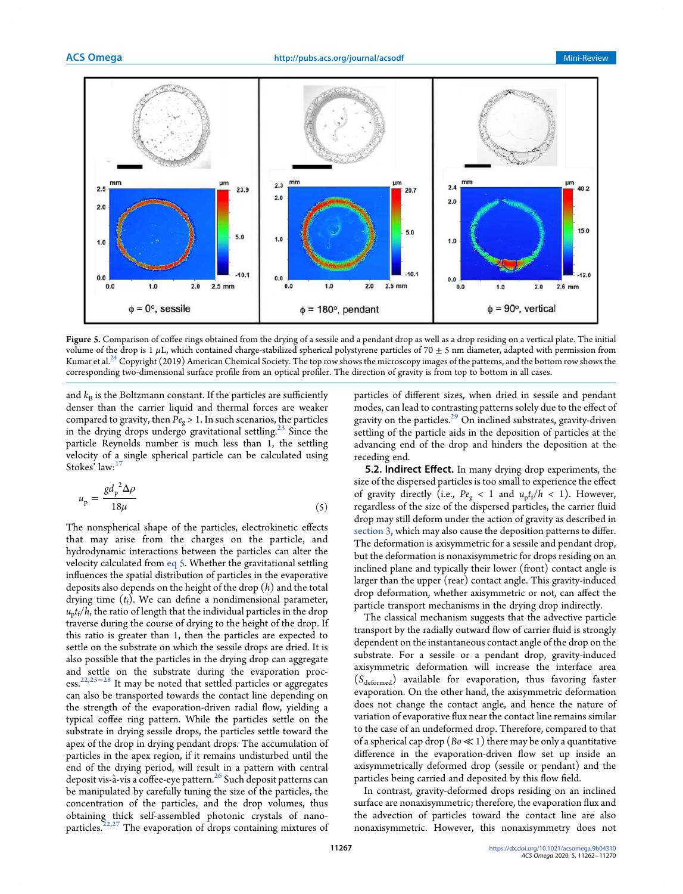

Figure 5. Comparison of coffee rings obtained from the drying of a sessile and a pendant drop as well as a drop residing on a vertical plate. The initial volume of the drop is 1  $\mu$ L, which contained charge-stabilized spherical polystyrene particles of 70  $\pm$  5 nm diameter, adapted with permission from Kumar et al.<sup>24</sup> Copyright (2019) American Chemical Society. The top row shows the microscopy images of the patterns, and the bottom row shows the corresponding two-dimensional surface profile from an optical profiler. The direction of gravity is from top to bottom in all cases.

and  $k_{\text{B}}$  is the Boltzmann constant. If the particles are sufficiently denser than the carrier liquid and thermal forces are weaker compared to gravity, then  $Pe_g > 1$ . In such scenarios, the particles in the drying drops undergo gravitational settling.<sup>23</sup> Since the particle Reynolds number is much less than 1, the settling velocity of a single spherical particle can be calculated using Stokes' law:<sup>17</sup>

$$
u_{\rm p} = \frac{g d_{\rm p}^2 \Delta \rho}{18 \mu} \tag{5}
$$

The nonspherical shape of the particles, electrokinetic effects that may arise from the charges on the particle, and hydrodynamic interactions between the particles can alter the velocity calculated from eq 5. Whether the gravitational settling influences the spatial distribution of particles in the evaporative deposits also depends on the height of the drop  $(h)$  and the total drying time  $(t_f)$ . We can define a nondimensional parameter,  $u_{\rm p}$ t<sub>f</sub>/h, the ratio of length that the individual particles in the drop traverse during the course of drying to the height of the drop. If this ratio is greater than 1, then the particles are expected to settle on the substrate on which the sessile drops are dried. It is also possible that the particles in the drying drop can aggregate and settle on the substrate during the evaporation process. 22,25−<sup>28</sup> It may be noted that settled particles or aggregates can also be transported towards the contact line depending on the strength of the evaporation-driven radial flow, yielding a typical coffee ring pattern. While the particles settle on the substrate in drying sessile drops, the particles settle toward the apex of the drop in drying pendant drops. The accumulation of particles in the apex region, if it remains undisturbed until the end of the drying period, will result in a pattern with central deposit vis-à-vis a coffee-eye pattern.<sup>26</sup> Such deposit patterns can be manipulated by carefully tuning the size of the particles, the concentration of the particles, and the drop volumes, thus obtaining thick self-assembled photonic crystals of nanoparticles. $^{22,27}$  The evaporation of drops containing mixtures of

particles of different sizes, when dried in sessile and pendant modes, can lead to contrasting patterns solely due to the effect of gravity on the particles. $^{29}$  On inclined substrates, gravity-driven settling of the particle aids in the deposition of particles at the advancing end of the drop and hinders the deposition at the receding end.

5.2. Indirect Effect. In many drying drop experiments, the size of the dispersed particles is too small to experience the effect of gravity directly (i.e.,  $Pe_g < 1$  and  $u_p t_f/h < 1$ ). However, regardless of the size of the dispersed particles, the carrier fluid drop may still deform under the action of gravity as described in section 3, which may also cause the deposition patterns to differ. The deformation is axisymmetric for a sessile and pendant drop, but the deformation is nonaxisymmetric for drops residing on an inclined plane and typically their lower (front) contact angle is larger than the upper (rear) contact angle. This gravity-induced drop deformation, whether axisymmetric or not, can affect the particle transport mechanisms in the drying drop indirectly.

The classical mechanism suggests that the advective particle transport by the radially outward flow of carrier fluid is strongly dependent on the instantaneous contact angle of the drop on the substrate. For a sessile or a pendant drop, gravity-induced axisymmetric deformation will increase the interface area  $(S_{\text{deformed}})$  available for evaporation, thus favoring faster evaporation. On the other hand, the axisymmetric deformation does not change the contact angle, and hence the nature of variation of evaporative flux near the contact line remains similar to the case of an undeformed drop. Therefore, compared to that of a spherical cap drop ( $Bo \ll 1$ ) there may be only a quantitative difference in the evaporation-driven flow set up inside an axisymmetrically deformed drop (sessile or pendant) and the particles being carried and deposited by this flow field.

In contrast, gravity-deformed drops residing on an inclined surface are nonaxisymmetric; therefore, the evaporation flux and the advection of particles toward the contact line are also nonaxisymmetric. However, this nonaxisymmetry does not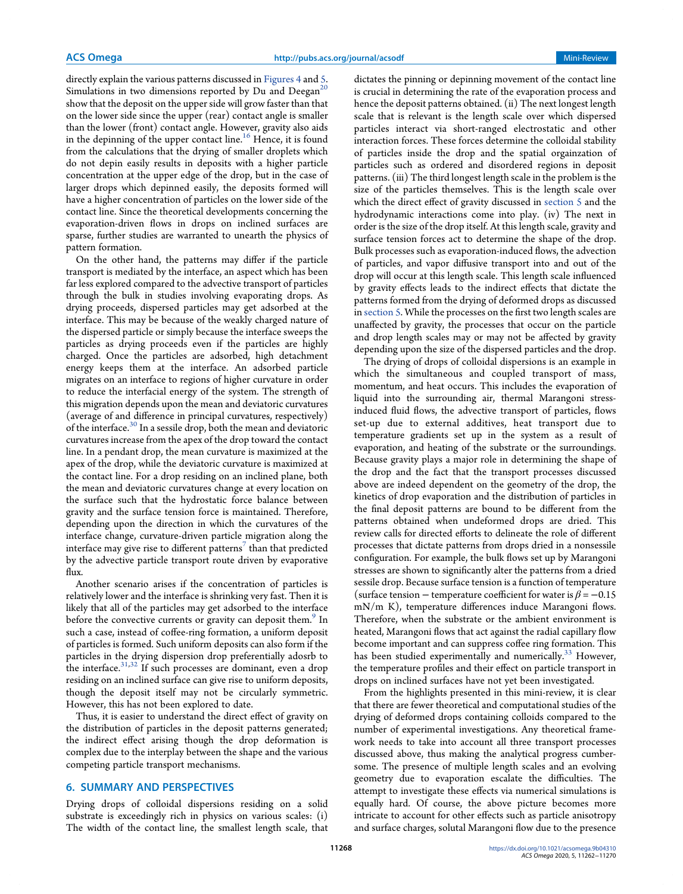directly explain the various patterns discussed in Figures 4 and 5. Simulations in two dimensions reported by Du and Deegan<sup>20</sup> show that the deposit on the upper side will grow faster than that on the lower side since the upper (rear) contact angle is smaller than the lower (front) contact angle. However, gravity also aids in the depinning of the upper contact line.<sup>16</sup> Hence, it is found from the calculations that the drying of smaller droplets which do not depin easily results in deposits with a higher particle concentration at the upper edge of the drop, but in the case of larger drops which depinned easily, the deposits formed will have a higher concentration of particles on the lower side of the contact line. Since the theoretical developments concerning the evaporation-driven flows in drops on inclined surfaces are sparse, further studies are warranted to unearth the physics of pattern formation.

On the other hand, the patterns may differ if the particle transport is mediated by the interface, an aspect which has been far less explored compared to the advective transport of particles through the bulk in studies involving evaporating drops. As drying proceeds, dispersed particles may get adsorbed at the interface. This may be because of the weakly charged nature of the dispersed particle or simply because the interface sweeps the particles as drying proceeds even if the particles are highly charged. Once the particles are adsorbed, high detachment energy keeps them at the interface. An adsorbed particle migrates on an interface to regions of higher curvature in order to reduce the interfacial energy of the system. The strength of this migration depends upon the mean and deviatoric curvatures (average of and difference in principal curvatures, respectively) of the interface.<sup>30</sup> In a sessile drop, both the mean and deviatoric curvatures increase from the apex of the drop toward the contact line. In a pendant drop, the mean curvature is maximized at the apex of the drop, while the deviatoric curvature is maximized at the contact line. For a drop residing on an inclined plane, both the mean and deviatoric curvatures change at every location on the surface such that the hydrostatic force balance between gravity and the surface tension force is maintained. Therefore, depending upon the direction in which the curvatures of the interface change, curvature-driven particle migration along the interface may give rise to different patterns<sup>7</sup> than that predicted by the advective particle transport route driven by evaporative flux.

Another scenario arises if the concentration of particles is relatively lower and the interface is shrinking very fast. Then it is likely that all of the particles may get adsorbed to the interface before the convective currents or gravity can deposit them. $9$  In such a case, instead of coffee-ring formation, a uniform deposit of particles is formed. Such uniform deposits can also form if the particles in the drying dispersion drop preferentially adosrb to the interface.<sup>31,32</sup> If such processes are dominant, even a drop residing on an inclined surface can give rise to uniform deposits, though the deposit itself may not be circularly symmetric. However, this has not been explored to date.

Thus, it is easier to understand the direct effect of gravity on the distribution of particles in the deposit patterns generated; the indirect effect arising though the drop deformation is complex due to the interplay between the shape and the various competing particle transport mechanisms.

### 6. SUMMARY AND PERSPECTIVES

Drying drops of colloidal dispersions residing on a solid substrate is exceedingly rich in physics on various scales: (i) The width of the contact line, the smallest length scale, that

dictates the pinning or depinning movement of the contact line is crucial in determining the rate of the evaporation process and hence the deposit patterns obtained. (ii) The next longest length scale that is relevant is the length scale over which dispersed particles interact via short-ranged electrostatic and other interaction forces. These forces determine the colloidal stability of particles inside the drop and the spatial orgainzation of particles such as ordered and disordered regions in deposit patterns. (iii) The third longest length scale in the problem is the size of the particles themselves. This is the length scale over which the direct effect of gravity discussed in section 5 and the hydrodynamic interactions come into play. (iv) The next in order is the size of the drop itself. At this length scale, gravity and surface tension forces act to determine the shape of the drop. Bulk processes such as evaporation-induced flows, the advection of particles, and vapor diffusive transport into and out of the drop will occur at this length scale. This length scale influenced by gravity effects leads to the indirect effects that dictate the patterns formed from the drying of deformed drops as discussed in section 5. While the processes on the first two length scales are unaffected by gravity, the processes that occur on the particle and drop length scales may or may not be affected by gravity depending upon the size of the dispersed particles and the drop.

The drying of drops of colloidal dispersions is an example in which the simultaneous and coupled transport of mass, momentum, and heat occurs. This includes the evaporation of liquid into the surrounding air, thermal Marangoni stressinduced fluid flows, the advective transport of particles, flows set-up due to external additives, heat transport due to temperature gradients set up in the system as a result of evaporation, and heating of the substrate or the surroundings. Because gravity plays a major role in determining the shape of the drop and the fact that the transport processes discussed above are indeed dependent on the geometry of the drop, the kinetics of drop evaporation and the distribution of particles in the final deposit patterns are bound to be different from the patterns obtained when undeformed drops are dried. This review calls for directed efforts to delineate the role of different processes that dictate patterns from drops dried in a nonsessile configuration. For example, the bulk flows set up by Marangoni stresses are shown to significantly alter the patterns from a dried sessile drop. Because surface tension is a function of temperature (surface tension – temperature coefficient for water is  $\beta = -0.15$ mN/m K), temperature differences induce Marangoni flows. Therefore, when the substrate or the ambient environment is heated, Marangoni flows that act against the radial capillary flow become important and can suppress coffee ring formation. This has been studied experimentally and numerically.<sup>33</sup> However, the temperature profiles and their effect on particle transport in drops on inclined surfaces have not yet been investigated.

From the highlights presented in this mini-review, it is clear that there are fewer theoretical and computational studies of the drying of deformed drops containing colloids compared to the number of experimental investigations. Any theoretical framework needs to take into account all three transport processes discussed above, thus making the analytical progress cumbersome. The presence of multiple length scales and an evolving geometry due to evaporation escalate the difficulties. The attempt to investigate these effects via numerical simulations is equally hard. Of course, the above picture becomes more intricate to account for other effects such as particle anisotropy and surface charges, solutal Marangoni flow due to the presence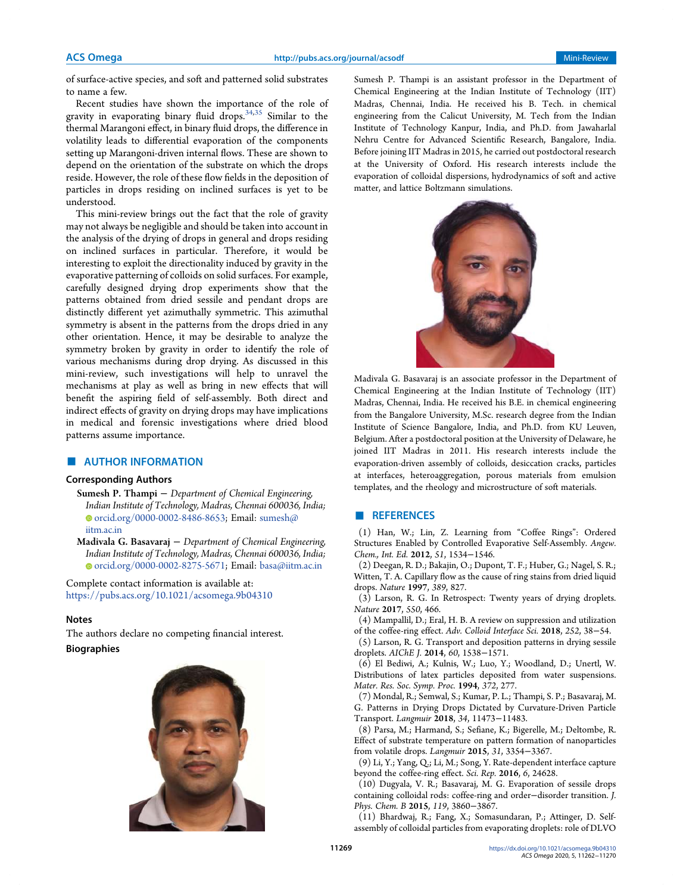of surface-active species, and soft and patterned solid substrates to name a few.

Recent studies have shown the importance of the role of gravity in evaporating binary fluid drops.<sup>34,35</sup> Similar to the thermal Marangoni effect, in binary fluid drops, the difference in volatility leads to differential evaporation of the components setting up Marangoni-driven internal flows. These are shown to depend on the orientation of the substrate on which the drops reside. However, the role of these flow fields in the deposition of particles in drops residing on inclined surfaces is yet to be understood.

This mini-review brings out the fact that the role of gravity may not always be negligible and should be taken into account in the analysis of the drying of drops in general and drops residing on inclined surfaces in particular. Therefore, it would be interesting to exploit the directionality induced by gravity in the evaporative patterning of colloids on solid surfaces. For example, carefully designed drying drop experiments show that the patterns obtained from dried sessile and pendant drops are distinctly different yet azimuthally symmetric. This azimuthal symmetry is absent in the patterns from the drops dried in any other orientation. Hence, it may be desirable to analyze the symmetry broken by gravity in order to identify the role of various mechanisms during drop drying. As discussed in this mini-review, such investigations will help to unravel the mechanisms at play as well as bring in new effects that will benefit the aspiring field of self-assembly. Both direct and indirect effects of gravity on drying drops may have implications in medical and forensic investigations where dried blood patterns assume importance.

## ■ AUTHOR INFORMATION

#### Corresponding Authors

- Sumesh P. Thampi − Department of Chemical Engineering, Indian Institute of Technology, Madras, Chennai 600036, India; orcid.org/0000-0002-8486-8653; Email: sumesh@ iitm.ac.in
- Madivala G. Basavaraj Department of Chemical Engineering, Indian Institute of Technology, Madras, Chennai 600036, India; orcid.org/0000-0002-8275-5671; Email: basa@iitm.ac.in

Complete contact information is available at: https://pubs.acs.org/10.1021/acsomega.9b04310

#### **Notes**

The authors declare no competing financial interest. Biographies



Sumesh P. Thampi is an assistant professor in the Department of Chemical Engineering at the Indian Institute of Technology (IIT) Madras, Chennai, India. He received his B. Tech. in chemical engineering from the Calicut University, M. Tech from the Indian Institute of Technology Kanpur, India, and Ph.D. from Jawaharlal Nehru Centre for Advanced Scientific Research, Bangalore, India. Before joining IIT Madras in 2015, he carried out postdoctoral research at the University of Oxford. His research interests include the evaporation of colloidal dispersions, hydrodynamics of soft and active matter, and lattice Boltzmann simulations.



Madivala G. Basavaraj is an associate professor in the Department of Chemical Engineering at the Indian Institute of Technology (IIT) Madras, Chennai, India. He received his B.E. in chemical engineering from the Bangalore University, M.Sc. research degree from the Indian Institute of Science Bangalore, India, and Ph.D. from KU Leuven, Belgium. After a postdoctoral position at the University of Delaware, he joined IIT Madras in 2011. His research interests include the evaporation-driven assembly of colloids, desiccation cracks, particles at interfaces, heteroaggregation, porous materials from emulsion templates, and the rheology and microstructure of soft materials.

#### ■ REFERENCES

(1) Han, W.; Lin, Z. Learning from "Coffee Rings": Ordered Structures Enabled by Controlled Evaporative Self-Assembly. Angew. Chem., Int. Ed. 2012, 51, 1534−1546.

(2) Deegan, R. D.; Bakajin, O.; Dupont, T. F.; Huber, G.; Nagel, S. R.; Witten, T. A. Capillary flow as the cause of ring stains from dried liquid drops. Nature 1997, 389, 827.

(3) Larson, R. G. In Retrospect: Twenty years of drying droplets. Nature 2017, 550, 466.

(4) Mampallil, D.; Eral, H. B. A review on suppression and utilization of the coffee-ring effect. Adv. Colloid Interface Sci. 2018, 252, 38−54.

(5) Larson, R. G. Transport and deposition patterns in drying sessile droplets. AIChE J. 2014, 60, 1538−1571.

(6) El Bediwi, A.; Kulnis, W.; Luo, Y.; Woodland, D.; Unertl, W. Distributions of latex particles deposited from water suspensions. Mater. Res. Soc. Symp. Proc. 1994, 372, 277.

(7) Mondal, R.; Semwal, S.; Kumar, P. L.; Thampi, S. P.; Basavaraj, M. G. Patterns in Drying Drops Dictated by Curvature-Driven Particle Transport. Langmuir 2018, 34, 11473−11483.

(8) Parsa, M.; Harmand, S.; Sefiane, K.; Bigerelle, M.; Deltombe, R. Effect of substrate temperature on pattern formation of nanoparticles from volatile drops. Langmuir 2015, 31, 3354−3367.

(9) Li, Y.; Yang, Q.; Li, M.; Song, Y. Rate-dependent interface capture beyond the coffee-ring effect. Sci. Rep. 2016, 6, 24628.

(10) Dugyala, V. R.; Basavaraj, M. G. Evaporation of sessile drops containing colloidal rods: coffee-ring and order−disorder transition. J. Phys. Chem. B 2015, 119, 3860−3867.

(11) Bhardwaj, R.; Fang, X.; Somasundaran, P.; Attinger, D. Selfassembly of colloidal particles from evaporating droplets: role of DLVO